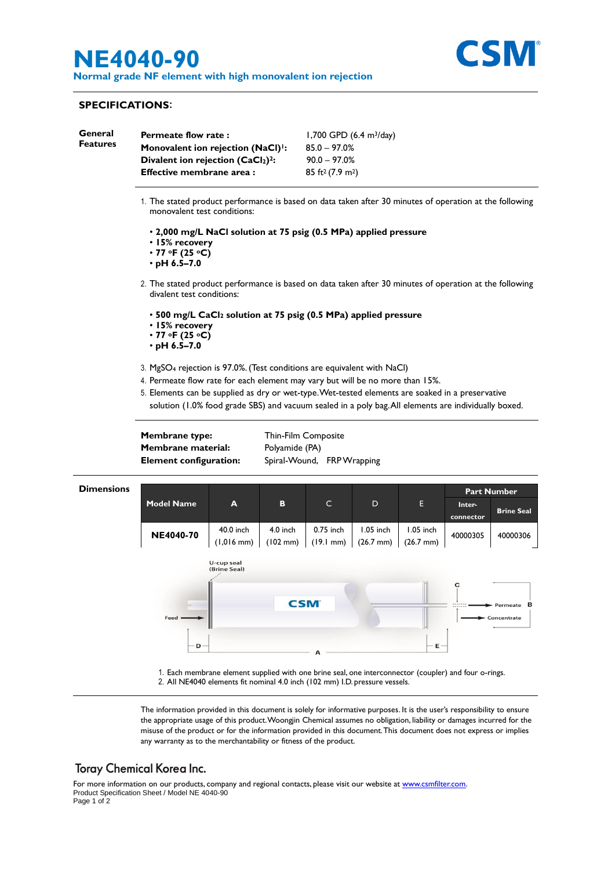# **NE4040-90**

**Normal grade NF element with high monovalent ion rejection**



#### **SPECIFICATIONS**:

| General<br><b>Features</b> | <b>Permeate flow rate:</b><br>Monovalent ion rejection (NaCl) <sup>1</sup> : | 1,700 GPD $(6.4 \text{ m}^3/\text{day})$<br>$85.0 - 97.0%$ |
|----------------------------|------------------------------------------------------------------------------|------------------------------------------------------------|
|                            | Divalent ion rejection $(CaCl2)2$ :                                          | $90.0 - 97.0%$                                             |
|                            | Effective membrane area :                                                    | $85 \text{ ft}^2 (7.9 \text{ m}^2)$                        |

- 1. The stated product performance is based on data taken after 30 minutes of operation at the following monovalent test conditions:
	- **2,000 mg/L NaCl solution at 75 psig (0.5 MPa) applied pressure**
	- **15% recovery**
	- **77 oF (25 oC)**
	- **pH 6.5–7.0**
- 2. The stated product performance is based on data taken after 30 minutes of operation at the following divalent test conditions:
	- **500 mg/L CaCl<sup>2</sup> solution at 75 psig (0.5 MPa) applied pressure**
	- **15% recovery**
	- **77 oF (25 oC)**
	- **pH 6.5–7.0**
- 3. MgSO<sup>4</sup> rejection is 97.0%. (Test conditions are equivalent with NaCl)
- 4. Permeate flow rate for each element may vary but will be no more than 15%.
- 5. Elements can be supplied as dry or wet-type. Wet-tested elements are soaked in a preservative solution (1.0% food grade SBS) and vacuum sealed in a poly bag. All elements are individually boxed.

**Membrane type:** Thin-Film Composite **Membrane material:** Polyamide (PA)

**Element configuration:** Spiral-Wound, FRP Wrapping



2. All NE4040 elements fit nominal 4.0 inch (102 mm) I.D. pressure vessels.

The information provided in this document is solely for informative purposes. It is the user's responsibility to ensure the appropriate usage of this product.Woongjin Chemical assumes no obligation, liability or damages incurred for the misuse of the product or for the information provided in this document.This document does not express or implies any warranty as to the merchantability or fitness of the product.

## **Toray Chemical Korea Inc.**

For more information on our products, company and regional contacts, please visit our website at [www.csmfilter.com.](http://www.csmfilter.com/) Product Specification Sheet / Model NE 4040-90 Page 1 of 2